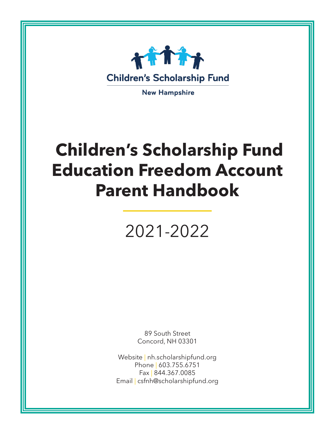

**New Hampshire** 

# **Children's Scholarship Fund Education Freedom Account Parent Handbook**

# 2021-2022

89 South Street Concord, NH 03301

Website | nh.scholarshipfund.org Phone | 603.755.6751 Fax | 844.367.0085 Email | csfnh@scholarshipfund.org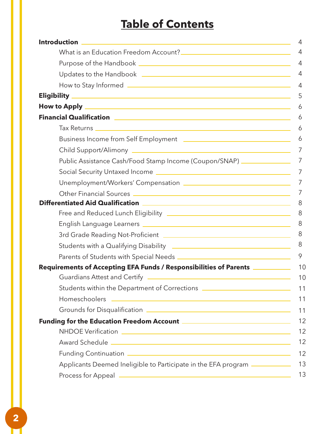# **Table of Contents**

|                                                                                                                            | 4  |
|----------------------------------------------------------------------------------------------------------------------------|----|
|                                                                                                                            | 4  |
|                                                                                                                            | 4  |
|                                                                                                                            | 4  |
|                                                                                                                            | 4  |
|                                                                                                                            | 5  |
|                                                                                                                            | 6  |
|                                                                                                                            | 6  |
|                                                                                                                            | 6  |
| Business Income from Self Employment <b>Face Access 2016</b>                                                               | 6  |
|                                                                                                                            |    |
| Public Assistance Cash/Food Stamp Income (Coupon/SNAP) _______________                                                     | 7  |
|                                                                                                                            | 7  |
|                                                                                                                            |    |
|                                                                                                                            |    |
|                                                                                                                            | 8  |
|                                                                                                                            | 8  |
|                                                                                                                            | 8  |
|                                                                                                                            | 8  |
| Students with a Qualifying Disability <b>contained a manuform of the Contract of Students with a Qualifying Disability</b> | 8  |
|                                                                                                                            | 9  |
| Requirements of Accepting EFA Funds / Responsibilities of Parents ____________                                             | 10 |
|                                                                                                                            | 10 |
| Students within the Department of Corrections __________________________________                                           | 11 |
|                                                                                                                            | 11 |
|                                                                                                                            | 11 |
|                                                                                                                            | 12 |
|                                                                                                                            | 12 |
|                                                                                                                            | 12 |
|                                                                                                                            | 12 |
| Applicants Deemed Ineligible to Participate in the EFA program ___________                                                 | 13 |
|                                                                                                                            | 13 |

H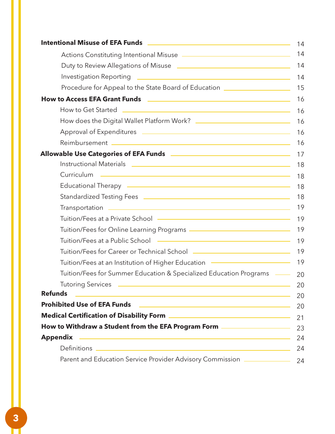| 14                                                                                                                                                                                                                                   |
|--------------------------------------------------------------------------------------------------------------------------------------------------------------------------------------------------------------------------------------|
| 14                                                                                                                                                                                                                                   |
| Duty to Review Allegations of Misuse <b>Fig. 1.1 April 2016</b> Nutries Allegations of Misuse<br>14                                                                                                                                  |
| 14                                                                                                                                                                                                                                   |
| Procedure for Appeal to the State Board of Education _____________________<br>15                                                                                                                                                     |
| 16                                                                                                                                                                                                                                   |
| 16                                                                                                                                                                                                                                   |
| 16                                                                                                                                                                                                                                   |
| 16                                                                                                                                                                                                                                   |
| 16                                                                                                                                                                                                                                   |
|                                                                                                                                                                                                                                      |
| 18                                                                                                                                                                                                                                   |
| 18                                                                                                                                                                                                                                   |
| Educational Therapy - The Content of the Content of Theorem and Therapy - The Content of the Content of Theorem and Theorem and Theorem and Theorem and Theorem and Theorem and Theorem and Theorem and Theorem and Theorem an<br>18 |
| 18                                                                                                                                                                                                                                   |
| 19                                                                                                                                                                                                                                   |
| 19                                                                                                                                                                                                                                   |
| 19                                                                                                                                                                                                                                   |
| 19                                                                                                                                                                                                                                   |
| 19                                                                                                                                                                                                                                   |
| Tuition/Fees at an Institution of Higher Education - Tuition Alleman Alleman Alleman<br>19                                                                                                                                           |
| Tuition/Fees for Summer Education & Specialized Education Programs (Allementary Computation Programs)<br>20                                                                                                                          |
| 20                                                                                                                                                                                                                                   |
| <b>Refunds</b><br><u> 1989 - Johann Stein, mars an deus Amerikaansk kommunister (* 1958)</u><br>20                                                                                                                                   |
| 20                                                                                                                                                                                                                                   |
| 21                                                                                                                                                                                                                                   |
| How to Withdraw a Student from the EFA Program Form ____________________<br>23                                                                                                                                                       |
| 24                                                                                                                                                                                                                                   |
| 24                                                                                                                                                                                                                                   |
| Parent and Education Service Provider Advisory Commission <b>Election Constants</b><br>24                                                                                                                                            |

П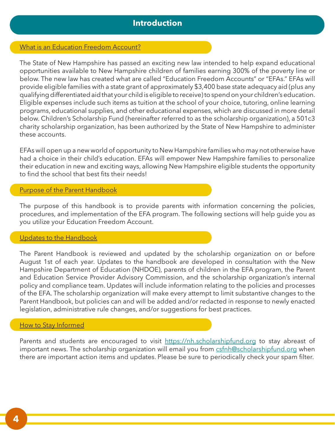## **Introduction**

## What is an Education Freedom Account?

The State of New Hampshire has passed an exciting new law intended to help expand educational opportunities available to New Hampshire children of families earning 300% of the poverty line or below. The new law has created what are called "Education Freedom Accounts" or "EFAs." EFAs will provide eligible families with a state grant of approximately \$3,400 base state adequacy aid (plus any qualifying differentiated aid that your child is eligible to receive) to spend on your children's education. Eligible expenses include such items as tuition at the school of your choice, tutoring, online learning programs, educational supplies, and other educational expenses, which are discussed in more detail below. Children's Scholarship Fund (hereinafter referred to as the scholarship organization), a 501c3 charity scholarship organization, has been authorized by the State of New Hampshire to administer these accounts.

EFAs will open up a new world of opportunity to New Hampshire families who may not otherwise have had a choice in their child's education. EFAs will empower New Hampshire families to personalize their education in new and exciting ways, allowing New Hampshire eligible students the opportunity to find the school that best fits their needs!

### Purpose of the Parent Handbook

The purpose of this handbook is to provide parents with information concerning the policies, procedures, and implementation of the EFA program. The following sections will help guide you as you utilize your Education Freedom Account.

#### Updates to the Handbook

The Parent Handbook is reviewed and updated by the scholarship organization on or before August 1st of each year. Updates to the handbook are developed in consultation with the New Hampshire Department of Education (NHDOE), parents of children in the EFA program, the Parent and Education Service Provider Advisory Commission, and the scholarship organization's internal policy and compliance team. Updates will include information relating to the policies and processes of the EFA. The scholarship organization will make every attempt to limit substantive changes to the Parent Handbook, but policies can and will be added and/or redacted in response to newly enacted legislation, administrative rule changes, and/or suggestions for best practices.

#### How to Stay Informed

Parents and students are encouraged to visit https://nh.scholarshipfund.org to stay abreast of important news. The scholarship organization will email you from csfnh@scholarshipfund.org when there are important action items and updates. Please be sure to periodically check your spam filter.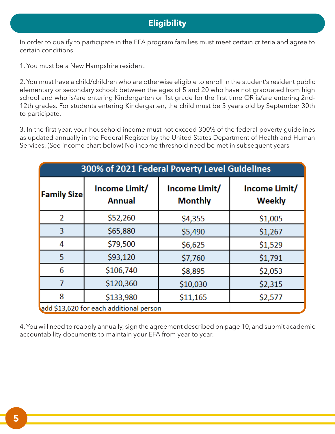## **Eligibility**

In order to qualify to participate in the EFA program families must meet certain criteria and agree to certain conditions.

1. You must be a New Hampshire resident.

2. You must have a child/children who are otherwise eligible to enroll in the student's resident public elementary or secondary school: between the ages of 5 and 20 who have not graduated from high school and who is/are entering Kindergarten or 1st grade for the first time OR is/are entering 2nd-12th grades. For students entering Kindergarten, the child must be 5 years old by September 30th to participate.

3. In the first year, your household income must not exceed 300% of the federal poverty guidelines as updated annually in the Federal Register by the United States Department of Health and Human Services. (See income chart below) No income threshold need be met in subsequent years

| 300% of 2021 Federal Poverty Level Guidelines |                         |                                 |                         |  |
|-----------------------------------------------|-------------------------|---------------------------------|-------------------------|--|
| <b>Family Size</b>                            | Income Limit/<br>Annual | Income Limit/<br><b>Monthly</b> | Income Limit/<br>Weekly |  |
| $\overline{2}$                                | \$52,260                | \$4,355                         | \$1,005                 |  |
| 3                                             | \$65,880                | \$5,490                         | \$1,267                 |  |
| 4                                             | \$79,500                | \$6,625                         | \$1,529                 |  |
| 5                                             | \$93,120                | \$7,760                         | \$1,791                 |  |
| 6                                             | \$106,740               | \$8,895                         | \$2,053                 |  |
| 7                                             | \$120,360               | \$10,030                        | \$2,315                 |  |
| 8                                             | \$133,980               | \$11,165                        | \$2,577                 |  |
| add \$13,620 for each additional person       |                         |                                 |                         |  |

4. You will need to reapply annually, sign the agreement described on page 10, and submit academic accountability documents to maintain your EFA from year to year.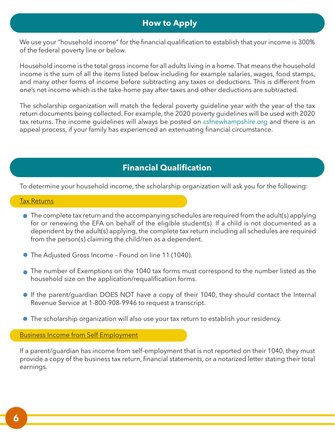## **How to Apply**

We use your "household income" for the financial qualification to establish that your income is 300% of the federal poverty line or below.

Household income is the total gross income for all adults living in a home. That means the household income is the sum of all the items listed below including for example salaries, wages, food stamps, and many other forms of income before subtracting any taxes or deductions. This is different from one's net income which is the take-home pay after taxes and other deductions are subtracted.

The scholarship organization will match the federal poverty guideline year with the year of the tax return documents being collected. For example, the 2020 poverty guidelines will be used with 2020 tax returns. The income guidelines will always be posted on csfnewhampshire.org and there is an appeal process, if your family has experienced an extenuating financial circumstance.

# **Financial Qualification**

To determine your household income, the scholarship organization will ask you for the following:

#### Tax Returns

- The complete tax return and the accompanying schedules are required from the adult(s) applying for or renewing the EFA on behalf of the eligible student(s). If a child is not documented as a dependent by the adult(s) applying, the complete tax return including all schedules are required from the person(s) claiming the child/ren as a dependent.
- The Adjusted Gross Income Found on line 11 (1040).
- The number of Exemptions on the 1040 tax forms must correspond to the number listed as the household size on the application/requalification forms.
- If the parent/guardian DOES NOT have a copy of their 1040, they should contact the Internal Revenue Service at 1-800-908-9946 to request a transcript.
- The scholarship organization will also use your tax return to establish your residency.

Business Income from Self Employment

If a parent/guardian has income from self-employment that is not reported on their 1040, they must provide a copy of the business tax return, financial statements, or a notarized letter stating their total earnings.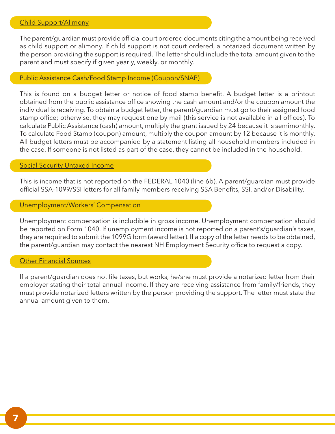The parent/guardian must provide official court ordered documents citing the amount being received as child support or alimony. If child support is not court ordered, a notarized document written by the person providing the support is required. The letter should include the total amount given to the parent and must specify if given yearly, weekly, or monthly.

## Public Assistance Cash/Food Stamp Income (Coupon/SNAP)

This is found on a budget letter or notice of food stamp benefit. A budget letter is a printout obtained from the public assistance office showing the cash amount and/or the coupon amount the individual is receiving. To obtain a budget letter, the parent/guardian must go to their assigned food stamp office; otherwise, they may request one by mail (this service is not available in all offices). To calculate Public Assistance (cash) amount, multiply the grant issued by 24 because it is semimonthly. To calculate Food Stamp (coupon) amount, multiply the coupon amount by 12 because it is monthly. All budget letters must be accompanied by a statement listing all household members included in the case. If someone is not listed as part of the case, they cannot be included in the household.

## **Social Security Untaxed Income**

This is income that is not reported on the FEDERAL 1040 (line 6b). A parent/guardian must provide official SSA-1099/SSI letters for all family members receiving SSA Benefits, SSI, and/or Disability.

## Unemployment/Workers' Compensation

Unemployment compensation is includible in gross income. Unemployment compensation should be reported on Form 1040. If unemployment income is not reported on a parent's/guardian's taxes, they are required to submit the 1099G form (award letter). If a copy of the letter needs to be obtained, the parent/guardian may contact the nearest NH Employment Security office to request a copy.

## Other Financial Sources

If a parent/guardian does not file taxes, but works, he/she must provide a notarized letter from their employer stating their total annual income. If they are receiving assistance from family/friends, they must provide notarized letters written by the person providing the support. The letter must state the annual amount given to them.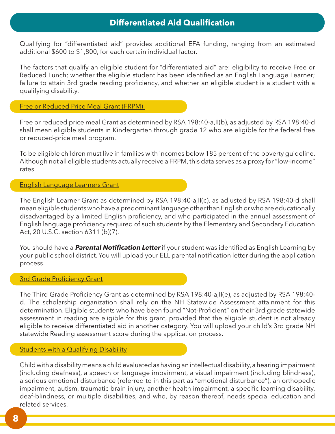## **Differentiated Aid Qualification**

Qualifying for "differentiated aid" provides additional EFA funding, ranging from an estimated additional \$600 to \$1,800, for each certain individual factor.

The factors that qualify an eligible student for "differentiated aid" are: eligibility to receive Free or Reduced Lunch; whether the eligible student has been identified as an English Language Learner; failure to attain 3rd grade reading proficiency, and whether an eligible student is a student with a qualifying disability.

Free or Reduced Price Meal Grant (FRPM)

Free or reduced price meal Grant as determined by RSA 198:40-a,II(b), as adjusted by RSA 198:40-d shall mean eligible students in Kindergarten through grade 12 who are eligible for the federal free or reduced-price meal program.

To be eligible children must live in families with incomes below 185 percent of the poverty guideline. Although not all eligible students actually receive a FRPM, this data serves as a proxy for "low-income" rates.

## English Language Learners Grant

The English Learner Grant as determined by RSA 198:40-a,II(c), as adjusted by RSA 198:40-d shall mean eligible students who have a predominant language other than English or who are educationally disadvantaged by a limited English proficiency, and who participated in the annual assessment of English language proficiency required of such students by the Elementary and Secondary Education Act, 20 U.S.C. section 6311 (b)(7).

You should have a **Parental Notification Letter** if your student was identified as English Learning by your public school district. You will upload your ELL parental notification letter during the application process.

## **3rd Grade Proficiency Grant**

The Third Grade Proficiency Grant as determined by RSA 198:40-a,II(e), as adjusted by RSA 198:40 d. The scholarship organization shall rely on the NH Statewide Assessment attainment for this determination. Eligible students who have been found "Not-Proficient" on their 3rd grade statewide assessment in reading are eligible for this grant, provided that the eligible student is not already eligible to receive differentiated aid in another category. You will upload your child's 3rd grade NH statewide Reading assessment score during the application process.

## **Students with a Qualifying Disability**

Child with a disability means a child evaluated as having an intellectual disability, a hearing impairment (including deafness), a speech or language impairment, a visual impairment (including blindness), a serious emotional disturbance (referred to in this part as "emotional disturbance"), an orthopedic impairment, autism, traumatic brain injury, another health impairment, a specific learning disability, deaf-blindness, or multiple disabilities, and who, by reason thereof, needs special education and related services.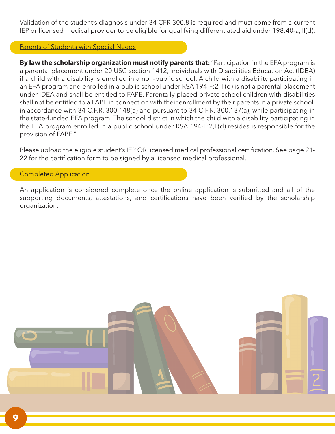Validation of the student's diagnosis under 34 CFR 300.8 is required and must come from a current IEP or licensed medical provider to be eligible for qualifying differentiated aid under 198:40-a, II(d).

## Parents of Students with Special Needs

**By law the scholarship organization must notify parents that:** "Participation in the EFA program is a parental placement under 20 USC section 1412, Individuals with Disabilities Education Act (IDEA) if a child with a disability is enrolled in a non-public school. A child with a disability participating in an EFA program and enrolled in a public school under RSA 194-F:2, II(d) is not a parental placement under IDEA and shall be entitled to FAPE. Parentally-placed private school children with disabilities shall not be entitled to a FAPE in connection with their enrollment by their parents in a private school, in accordance with 34 C.F.R. 300.148(a) and pursuant to 34 C.F.R. 300.137(a), while participating in the state-funded EFA program. The school district in which the child with a disability participating in the EFA program enrolled in a public school under RSA 194-F:2,II(d) resides is responsible for the provision of FAPE."

Please upload the eligible student's IEP OR licensed medical professional certification. See page 21- 22 for the certification form to be signed by a licensed medical professional.

## Completed Application

An application is considered complete once the online application is submitted and all of the supporting documents, attestations, and certifications have been verified by the scholarship organization.

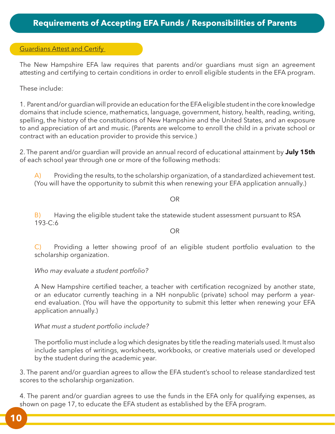## Guardians Attest and Certify

The New Hampshire EFA law requires that parents and/or guardians must sign an agreement attesting and certifying to certain conditions in order to enroll eligible students in the EFA program.

These include:

1. Parent and/or guardian will provide an education for the EFA eligible student in the core knowledge domains that include science, mathematics, language, government, history, health, reading, writing, spelling, the history of the constitutions of New Hampshire and the United States, and an exposure to and appreciation of art and music. (Parents are welcome to enroll the child in a private school or contract with an education provider to provide this service.)

2. The parent and/or guardian will provide an annual record of educational attainment by **July 15th**  of each school year through one or more of the following methods:

 $\overline{A}$  Providing the results, to the scholarship organization, of a standardized achievement test. (You will have the opportunity to submit this when renewing your EFA application annually.)

#### OR

B) Having the eligible student take the statewide student assessment pursuant to RSA 193-C:6

#### OR

C) Providing a letter showing proof of an eligible student portfolio evaluation to the scholarship organization.

## *Who may evaluate a student portfolio?*

A New Hampshire certified teacher, a teacher with certification recognized by another state, or an educator currently teaching in a NH nonpublic (private) school may perform a yearend evaluation. (You will have the opportunity to submit this letter when renewing your EFA application annually.)

## *What must a student portfolio include?*

The portfolio must include a log which designates by title the reading materials used. It must also include samples of writings, worksheets, workbooks, or creative materials used or developed by the student during the academic year.

3. The parent and/or guardian agrees to allow the EFA student's school to release standardized test scores to the scholarship organization.

4. The parent and/or guardian agrees to use the funds in the EFA only for qualifying expenses, as shown on page 17, to educate the EFA student as established by the EFA program.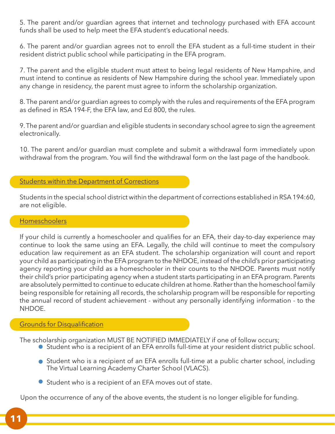5. The parent and/or guardian agrees that internet and technology purchased with EFA account funds shall be used to help meet the EFA student's educational needs.

6. The parent and/or guardian agrees not to enroll the EFA student as a full-time student in their resident district public school while participating in the EFA program.

7. The parent and the eligible student must attest to being legal residents of New Hampshire, and must intend to continue as residents of New Hampshire during the school year. Immediately upon any change in residency, the parent must agree to inform the scholarship organization.

8. The parent and/or guardian agrees to comply with the rules and requirements of the EFA program as defined in RSA 194-F, the EFA law, and Ed 800, the rules.

9. The parent and/or guardian and eligible students in secondary school agree to sign the agreement electronically.

10. The parent and/or guardian must complete and submit a withdrawal form immediately upon withdrawal from the program. You will find the withdrawal form on the last page of the handbook.

## Students within the Department of Corrections

Students in the special school district within the department of corrections established in RSA 194:60, are not eligible.

## **Homeschoolers**

If your child is currently a homeschooler and qualifies for an EFA, their day-to-day experience may continue to look the same using an EFA. Legally, the child will continue to meet the compulsory education law requirement as an EFA student. The scholarship organization will count and report your child as participating in the EFA program to the NHDOE, instead of the child's prior participating agency reporting your child as a homeschooler in their counts to the NHDOE. Parents must notify their child's prior participating agency when a student starts participating in an EFA program. Parents are absolutely permitted to continue to educate children at home. Rather than the homeschool family being responsible for retaining all records, the scholarship program will be responsible for reporting the annual record of student achievement - without any personally identifying information - to the NHDOE.

## Grounds for Disqualification

The scholarship organization MUST BE NOTIFIED IMMEDIATELY if one of follow occurs;

- Student who is a recipient of an EFA enrolls full-time at your resident district public school.
- Student who is a recipient of an EFA enrolls full-time at a public charter school, including The Virtual Learning Academy Charter School (VLACS).
- Student who is a recipient of an EFA moves out of state.

Upon the occurrence of any of the above events, the student is no longer eligible for funding.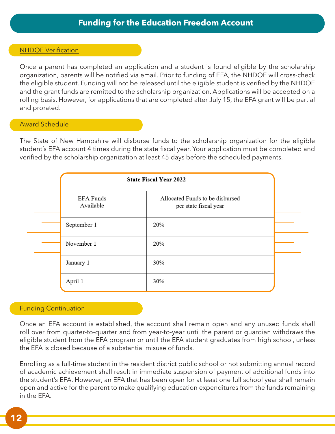## NHDOE Verification

Once a parent has completed an application and a student is found eligible by the scholarship organization, parents will be notified via email. Prior to funding of EFA, the NHDOE will cross-check the eligible student. Funding will not be released until the eligible student is verified by the NHDOE and the grant funds are remitted to the scholarship organization. Applications will be accepted on a rolling basis. However, for applications that are completed after July 15, the EFA grant will be partial and prorated.

## Award Schedule

The State of New Hampshire will disburse funds to the scholarship organization for the eligible student's EFA account 4 times during the state fiscal year. Your application must be completed and verified by the scholarship organization at least 45 days before the scheduled payments.

| <b>State Fiscal Year 2022</b> |                                                          |  |
|-------------------------------|----------------------------------------------------------|--|
| EFA Funds<br>Available        | Allocated Funds to be disbursed<br>per state fiscal year |  |
| September 1                   | 20%                                                      |  |
| November 1                    | 20%                                                      |  |
| January 1                     | 30%                                                      |  |
| April 1                       | 30%                                                      |  |

## Funding Continuation

Once an EFA account is established, the account shall remain open and any unused funds shall roll over from quarter-to-quarter and from year-to-year until the parent or guardian withdraws the eligible student from the EFA program or until the EFA student graduates from high school, unless the EFA is closed because of a substantial misuse of funds.

Enrolling as a full-time student in the resident district public school or not submitting annual record of academic achievement shall result in immediate suspension of payment of additional funds into the student's EFA. However, an EFA that has been open for at least one full school year shall remain open and active for the parent to make qualifying education expenditures from the funds remaining in the EFA.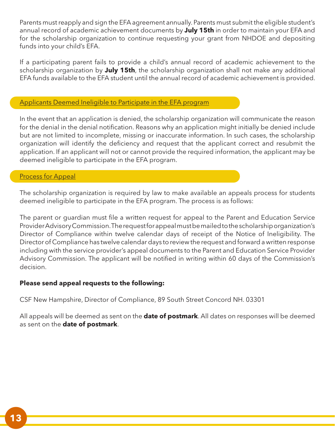Parents must reapply and sign the EFA agreement annually. Parents must submit the eligible student's annual record of academic achievement documents by **July 15th** in order to maintain your EFA and for the scholarship organization to continue requesting your grant from NHDOE and depositing funds into your child's EFA.

If a participating parent fails to provide a child's annual record of academic achievement to the scholarship organization by **July 15th**, the scholarship organization shall not make any additional EFA funds available to the EFA student until the annual record of academic achievement is provided.

## Applicants Deemed Ineligible to Participate in the EFA program

In the event that an application is denied, the scholarship organization will communicate the reason for the denial in the denial notification. Reasons why an application might initially be denied include but are not limited to incomplete, missing or inaccurate information. In such cases, the scholarship organization will identify the deficiency and request that the applicant correct and resubmit the application. If an applicant will not or cannot provide the required information, the applicant may be deemed ineligible to participate in the EFA program.

## **Process for Appeal**

The scholarship organization is required by law to make available an appeals process for students deemed ineligible to participate in the EFA program. The process is as follows:

The parent or guardian must file a written request for appeal to the Parent and Education Service Provider Advisory Commission. The request for appeal must be mailed to the scholarship organization's Director of Compliance within twelve calendar days of receipt of the Notice of Ineligibility. The Director of Compliance has twelve calendar days to review the request and forward a written response including with the service provider's appeal documents to the Parent and Education Service Provider Advisory Commission. The applicant will be notified in writing within 60 days of the Commission's decision.

## **Please send appeal requests to the following:**

CSF New Hampshire, Director of Compliance, 89 South Street Concord NH. 03301

All appeals will be deemed as sent on the **date of postmark**. All dates on responses will be deemed as sent on the **date of postmark**.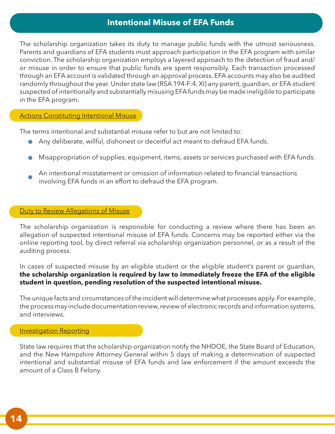## **Intentional Misuse of EFA Funds**

The scholarship organization takes its duty to manage public funds with the utmost seriousness. Parents and guardians of EFA students must approach participation in the EFA program with similar conviction. The scholarship organization employs a layered approach to the detection of fraud and/ or misuse in order to ensure that public funds are spent responsibly. Each transaction processed through an EFA account is validated through an approval process. EFA accounts may also be audited randomly throughout the year. Under state law (RSA 194-F:4, XI) any parent, guardian, or EFA student suspected of intentionally and substantially misusing EFA funds may be made ineligible to participate in the EFA program.

## **Actions Constituting Intentional Misuse**

The terms intentional and substantial misuse refer to but are not limited to:

- Any deliberate, willful, dishonest or deceitful act meant to defraud EFA funds.
- Misappropriation of supplies, equipment, items, assets or services purchased with EFA funds.
- An intentional misstatement or omission of information related to financial transactions involving EFA funds in an effort to defraud the EFA program.

## Duty to Review Allegations of Misuse

The scholarship organization is responsible for conducting a review where there has been an allegation of suspected intentional misuse of EFA funds. Concerns may be reported either via the online reporting tool, by direct referral via scholarship organization personnel, or as a result of the auditing process.

In cases of suspected misuse by an eligible student or the eligible student's parent or guardian, **the scholarship organization is required by law to immediately freeze the EFA of the eligible student in question, pending resolution of the suspected intentional misuse.**

The unique facts and circumstances of the incident will determine what processes apply. For example, the process may include documentation review, review of electronic records and information systems, and interviews.

## **Investigation Reporting**

State law requires that the scholarship organization notify the NHDOE, the State Board of Education, and the New Hampshire Attorney General within 5 days of making a determination of suspected intentional and substantial misuse of EFA funds and law enforcement if the amount exceeds the amount of a Class B Felony.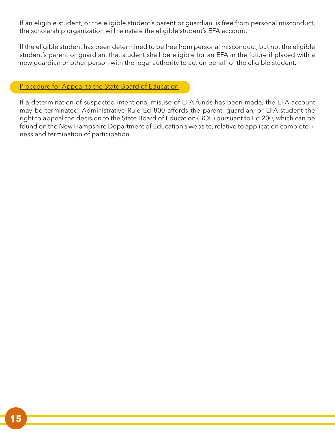If an eligible student, or the eligible student's parent or guardian, is free from personal misconduct, the scholarship organization will reinstate the eligible student's EFA account.

If the eligible student has been determined to be free from personal misconduct, but not the eligible student's parent or guardian, that student shall be eligible for an EFA in the future if placed with a new guardian or other person with the legal authority to act on behalf of the eligible student.

Procedure for Appeal to the State Board of Education

If a determination of suspected intentional misuse of EFA funds has been made, the EFA account may be terminated. Administrative Rule Ed 800 affords the parent, guardian, or EFA student the right to appeal the decision to the State Board of Education (BOE) pursuant to Ed 200, which can be found on the New Hampshire Department of Education's website, relative to application complete¬ ness and termination of participation.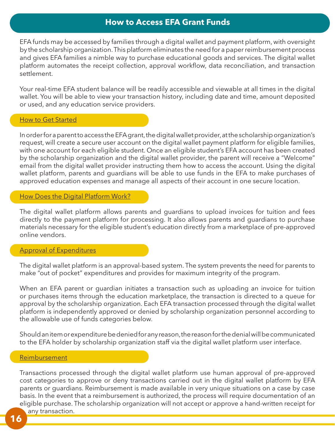## **How to Access EFA Grant Funds**

EFA funds may be accessed by families through a digital wallet and payment platform, with oversight by the scholarship organization. This platform eliminates the need for a paper reimbursement process and gives EFA families a nimble way to purchase educational goods and services. The digital wallet platform automates the receipt collection, approval workflow, data reconciliation, and transaction settlement.

Your real-time EFA student balance will be readily accessible and viewable at all times in the digital wallet. You will be able to view your transaction history, including date and time, amount deposited or used, and any education service providers.

#### How to Get Started

In order for a parent to access the EFA grant, the digital wallet provider, at the scholarship organization's request, will create a secure user account on the digital wallet payment platform for eligible families, with one account for each eligible student. Once an eligible student's EFA account has been created by the scholarship organization and the digital wallet provider, the parent will receive a "Welcome" email from the digital wallet provider instructing them how to access the account. Using the digital wallet platform, parents and guardians will be able to use funds in the EFA to make purchases of approved education expenses and manage all aspects of their account in one secure location.

## How Does the Digital Platform Work?

The digital wallet platform allows parents and guardians to upload invoices for tuition and fees directly to the payment platform for processing. It also allows parents and guardians to purchase materials necessary for the eligible student's education directly from a marketplace of pre-approved online vendors.

## Approval of Expenditures

The digital wallet platform is an approval-based system. The system prevents the need for parents to make "out of pocket" expenditures and provides for maximum integrity of the program.

When an EFA parent or guardian initiates a transaction such as uploading an invoice for tuition or purchases items through the education marketplace, the transaction is directed to a queue for approval by the scholarship organization. Each EFA transaction processed through the digital wallet platform is independently approved or denied by scholarship organization personnel according to the allowable use of funds categories below.

Should an item or expenditure be denied for any reason, the reason for the denial will be communicated to the EFA holder by scholarship organization staff via the digital wallet platform user interface.

#### Reimbursement

Transactions processed through the digital wallet platform use human approval of pre-approved cost categories to approve or deny transactions carried out in the digital wallet platform by EFA parents or guardians. Reimbursement is made available in very unique situations on a case by case basis. In the event that a reimbursement is authorized, the process will require documentation of an eligible purchase. The scholarship organization will not accept or approve a hand-written receipt for any transaction.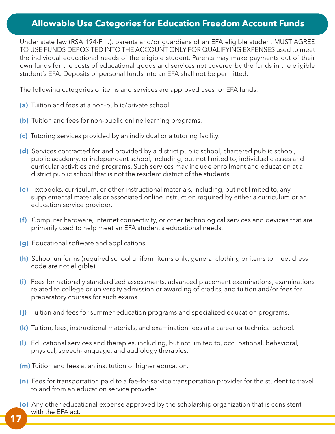## **Allowable Use Categories for Education Freedom Account Funds**

Under state law (RSA 194-F II.), parents and/or guardians of an EFA eligible student MUST AGREE TO USE FUNDS DEPOSITED INTO THE ACCOUNT ONLY FOR QUALIFYING EXPENSES used to meet the individual educational needs of the eligible student. Parents may make payments out of their own funds for the costs of educational goods and services not covered by the funds in the eligible student's EFA. Deposits of personal funds into an EFA shall not be permitted.

The following categories of items and services are approved uses for EFA funds:

- **(a)** Tuition and fees at a non-public/private school.
- **(b)** Tuition and fees for non-public online learning programs.
- **(c)** Tutoring services provided by an individual or a tutoring facility.
- **(d)** Services contracted for and provided by a district public school, chartered public school, public academy, or independent school, including, but not limited to, individual classes and curricular activities and programs. Such services may include enrollment and education at a district public school that is not the resident district of the students.
- **(e)** Textbooks, curriculum, or other instructional materials, including, but not limited to, any supplemental materials or associated online instruction required by either a curriculum or an education service provider.
- **(f)** Computer hardware, Internet connectivity, or other technological services and devices that are primarily used to help meet an EFA student's educational needs.
- **(g)** Educational software and applications.
- **(h)** School uniforms (required school uniform items only, general clothing or items to meet dress code are not eligible).
- **(i)** Fees for nationally standardized assessments, advanced placement examinations, examinations related to college or university admission or awarding of credits, and tuition and/or fees for preparatory courses for such exams.
- **(j)** Tuition and fees for summer education programs and specialized education programs.
- **(k)** Tuition, fees, instructional materials, and examination fees at a career or technical school.
- **(l)** Educational services and therapies, including, but not limited to, occupational, behavioral, physical, speech-language, and audiology therapies.
- **(m)** Tuition and fees at an institution of higher education.
- **(n)** Fees for transportation paid to a fee-for-service transportation provider for the student to travel to and from an education service provider.
- **(o)** Any other educational expense approved by the scholarship organization that is consistent with the EFA act.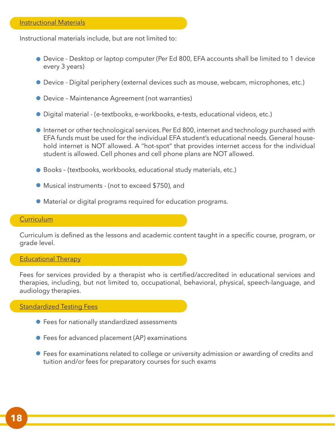Instructional materials include, but are not limited to:

- Device Desktop or laptop computer (Per Ed 800, EFA accounts shall be limited to 1 device every 3 years)
- Device Digital periphery (external devices such as mouse, webcam, microphones, etc.)
- Device Maintenance Agreement (not warranties)
- Digital material (e-textbooks, e-workbooks, e-tests, educational videos, etc.)
- Internet or other technological services. Per Ed 800, internet and technology purchased with EFA funds must be used for the individual EFA student's educational needs. General household internet is NOT allowed. A "hot-spot" that provides internet access for the individual student is allowed. Cell phones and cell phone plans are NOT allowed.
- Books (textbooks, workbooks, educational study materials, etc.)
- Musical instruments (not to exceed \$750), and
- Material or digital programs required for education programs.

## **Curriculum**

Curriculum is defined as the lessons and academic content taught in a specific course, program, or grade level.

#### Educational Therapy

Fees for services provided by a therapist who is certified/accredited in educational services and therapies, including, but not limited to, occupational, behavioral, physical, speech-language, and audiology therapies.

Standardized Testing Fees

- Fees for nationally standardized assessments
- Fees for advanced placement (AP) examinations
- Fees for examinations related to college or university admission or awarding of credits and tuition and/or fees for preparatory courses for such exams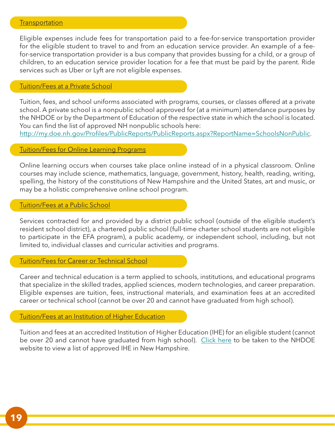#### **Transportation**

Eligible expenses include fees for transportation paid to a fee-for-service transportation provider for the eligible student to travel to and from an education service provider. An example of a feefor-service transportation provider is a bus company that provides bussing for a child, or a group of children, to an education service provider location for a fee that must be paid by the parent. Ride services such as Uber or Lyft are not eligible expenses.

## Tuition/Fees at a Private School

Tuition, fees, and school uniforms associated with programs, courses, or classes offered at a private school. A private school is a nonpublic school approved for (at a minimum) attendance purposes by the NHDOE or by the Department of Education of the respective state in which the school is located. You can find the list of approved NH nonpublic schools here:

http://my.doe.nh.gov/Profiles/PublicReports/PublicReports.aspx?ReportName=SchoolsNonPublic.

#### Tuition/Fees for Online Learning Programs

Online learning occurs when courses take place online instead of in a physical classroom. Online courses may include science, mathematics, language, government, history, health, reading, writing, spelling, the history of the constitutions of New Hampshire and the United States, art and music, or may be a holistic comprehensive online school program.

## Tuition/Fees at a Public School

Services contracted for and provided by a district public school (outside of the eligible student's resident school district), a chartered public school (full-time charter school students are not eligible to participate in the EFA program), a public academy, or independent school, including, but not limited to, individual classes and curricular activities and programs.

## Tuition/Fees for Career or Technical School

Career and technical education is a term applied to schools, institutions, and educational programs that specialize in the skilled trades, applied sciences, modern technologies, and career preparation. Eligible expenses are tuition, fees, instructional materials, and examination fees at an accredited career or technical school (cannot be over 20 and cannot have graduated from high school).

### Tuition/Fees at an Institution of Higher Education

Tuition and fees at an accredited Institution of Higher Education (IHE) for an eligible student (cannot be over 20 and cannot have graduated from high school). Click here to be taken to the NHDOE website to view a list of approved IHE in New Hampshire.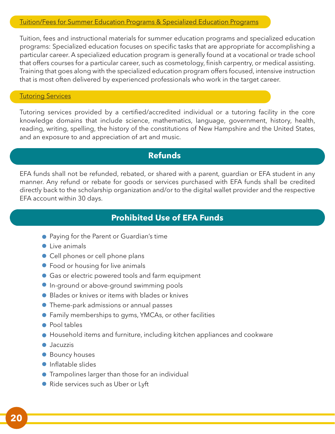## Tuition/Fees for Summer Education Programs & Specialized Education Programs

Tuition, fees and instructional materials for summer education programs and specialized education programs: Specialized education focuses on specific tasks that are appropriate for accomplishing a particular career. A specialized education program is generally found at a vocational or trade school that offers courses for a particular career, such as cosmetology, finish carpentry, or medical assisting. Training that goes along with the specialized education program offers focused, intensive instruction that is most often delivered by experienced professionals who work in the target career.

## **Tutoring Services**

Tutoring services provided by a certified/accredited individual or a tutoring facility in the core knowledge domains that include science, mathematics, language, government, history, health, reading, writing, spelling, the history of the constitutions of New Hampshire and the United States, and an exposure to and appreciation of art and music.

## **Refunds**

EFA funds shall not be refunded, rebated, or shared with a parent, guardian or EFA student in any manner. Any refund or rebate for goods or services purchased with EFA funds shall be credited directly back to the scholarship organization and/or to the digital wallet provider and the respective EFA account within 30 days.

## **Prohibited Use of EFA Funds**

- **•** Paying for the Parent or Guardian's time
- live animals
- Cell phones or cell phone plans
- Food or housing for live animals
- **Gas or electric powered tools and farm equipment**
- **In-ground or above-ground swimming pools**
- Blades or knives or items with blades or knives
- Theme-park admissions or annual passes
- Family memberships to gyms, YMCAs, or other facilities
- Pool tables
- Household items and furniture, including kitchen appliances and cookware
- Jacuzzis
- **Bouncy houses**
- Inflatable slides
- **•** Trampolines larger than those for an individual
- Ride services such as Uber or Lyft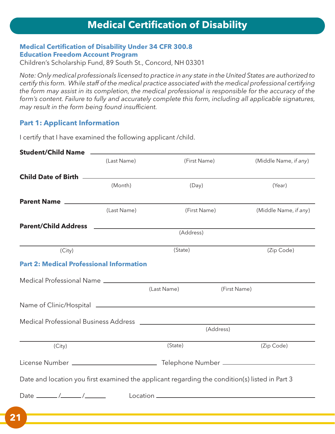## **Medical Certification of Disability Under 34 CFR 300.8 Education Freedom Account Program**

Children's Scholarship Fund, 89 South St., Concord, NH 03301

*Note: Only medical professionals licensed to practice in any state in the United States are authorized to certify this form. While staff of the medical practice associated with the medical professional certifying the form may assist in its completion, the medical professional is responsible for the accuracy of the form's content. Failure to fully and accurately complete this form, including all applicable signatures, may result in the form being found insufficient.*

## **Part 1: Applicant Information**

I certify that I have examined the following applicant /child.

| (Last Name)                                                   | (First Name) | (Middle Name, if any)                                                                                                                                               |
|---------------------------------------------------------------|--------------|---------------------------------------------------------------------------------------------------------------------------------------------------------------------|
|                                                               |              |                                                                                                                                                                     |
| (Month)                                                       | (Day)        | (Year)                                                                                                                                                              |
|                                                               |              |                                                                                                                                                                     |
| (Last Name)                                                   | (First Name) | (Middle Name, if any)                                                                                                                                               |
|                                                               |              |                                                                                                                                                                     |
|                                                               |              |                                                                                                                                                                     |
|                                                               | (State)      | (Zip Code)                                                                                                                                                          |
| <b>Part 2: Medical Professional Information</b>               |              |                                                                                                                                                                     |
|                                                               |              |                                                                                                                                                                     |
|                                                               |              | (First Name)                                                                                                                                                        |
|                                                               |              |                                                                                                                                                                     |
|                                                               |              |                                                                                                                                                                     |
|                                                               | (Address)    |                                                                                                                                                                     |
|                                                               | (State)      | (Zip Code)                                                                                                                                                          |
|                                                               |              |                                                                                                                                                                     |
|                                                               |              |                                                                                                                                                                     |
| Date $\_\_\_\_\_\_\_\_\_\_\_\_\_\_\_\_\_\_\_\_\_\_\_\_\_\_\_$ |              |                                                                                                                                                                     |
|                                                               |              |                                                                                                                                                                     |
|                                                               |              | (Address)<br>(Last Name)<br>Medical Professional Business Address<br>Date and location you first examined the applicant regarding the condition(s) listed in Part 3 |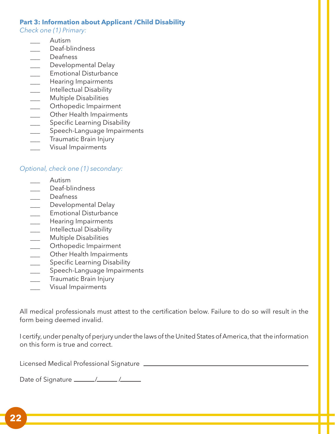## **Part 3: Information about Applicant /Child Disability**

*Check one (1) Primary:*

- \_\_\_ Autism
- Deaf-blindness
- \_\_\_ Deafness
- \_\_\_ Developmental Delay
- \_\_\_ Emotional Disturbance
- \_\_\_ Hearing Impairments
- \_\_\_ Intellectual Disability
- \_\_\_ Multiple Disabilities
- \_\_\_ Orthopedic Impairment
- \_\_\_ Other Health Impairments
- \_\_\_ Specific Learning Disability
- Speech-Language Impairments
- Traumatic Brain Injury
- \_\_\_ Visual Impairments

## *Optional, check one (1) secondary:*

- \_\_\_ Autism
- Deaf-blindness
- \_\_\_ Deafness
- \_\_\_ Developmental Delay
- \_\_\_ Emotional Disturbance
- \_\_\_ Hearing Impairments
- \_\_\_ Intellectual Disability
- \_\_\_ Multiple Disabilities
- \_\_\_ Orthopedic Impairment
- \_\_\_ Other Health Impairments
- \_\_\_ Specific Learning Disability
- \_\_\_ Speech-Language Impairments
- \_\_\_ Traumatic Brain Injury
- Visual Impairments

All medical professionals must attest to the certification below. Failure to do so will result in the form being deemed invalid.

I certify, under penalty of perjury under the laws of the United States of America, that the information on this form is true and correct.

Licensed Medical Professional Signature

Date of Signature / /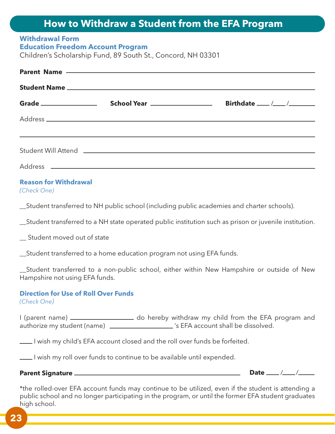# **How to Withdraw a Student from the EFA Program**

#### **Withdrawal Form Education Freedom Account Program**

Children's Scholarship Fund, 89 South St., Concord, NH 03301

|  |  | <u> 1989 - Andrea Stadt Britain, amerikansk politik (* 1989)</u> |  |  |  |
|--|--|------------------------------------------------------------------|--|--|--|
|  |  |                                                                  |  |  |  |
|  |  |                                                                  |  |  |  |
|  |  |                                                                  |  |  |  |

## **Reason for Withdrawal**

*(Check One)*

\_\_Student transferred to NH public school (including public academies and charter schools).

\_\_Student transferred to a NH state operated public institution such as prison or juvenile institution.

\_\_ Student moved out of state

\_\_Student transferred to a home education program not using EFA funds.

\_\_Student transferred to a non-public school, either within New Hampshire or outside of New Hampshire not using EFA funds.

## **Direction for Use of Roll Over Funds**

*(Check One)*

I (parent name) \_\_\_\_\_\_\_\_\_\_\_\_\_\_\_\_\_\_\_\_\_\_\_ do hereby withdraw my child from the EFA program and authorize my student (name) [2001] (see SEFA account shall be dissolved.

I wish my child's EFA account closed and the roll over funds be forfeited.

I wish my roll over funds to continue to be available until expended.

## **Parent Signature**

Date \_\_\_ /\_\_\_ /\_\_\_\_

\*the rolled-over EFA account funds may continue to be utilized, even if the student is attending a public school and no longer participating in the program, or until the former EFA student graduates high school.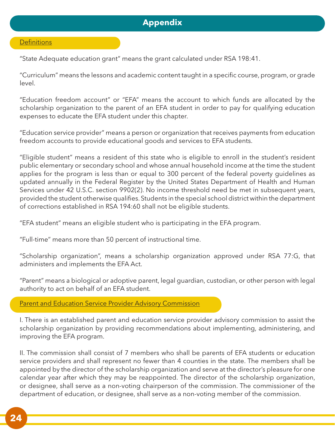## **Appendix**

#### **Definitions**

"State Adequate education grant" means the grant calculated under RSA 198:41.

"Curriculum" means the lessons and academic content taught in a specific course, program, or grade level.

"Education freedom account" or "EFA" means the account to which funds are allocated by the scholarship organization to the parent of an EFA student in order to pay for qualifying education expenses to educate the EFA student under this chapter.

"Education service provider" means a person or organization that receives payments from education freedom accounts to provide educational goods and services to EFA students.

"Eligible student" means a resident of this state who is eligible to enroll in the student's resident public elementary or secondary school and whose annual household income at the time the student applies for the program is less than or equal to 300 percent of the federal poverty guidelines as updated annually in the Federal Register by the United States Department of Health and Human Services under 42 U.S.C. section 9902(2). No income threshold need be met in subsequent years, provided the student otherwise qualifies. Students in the special school district within the department of corrections established in RSA 194:60 shall not be eligible students.

"EFA student" means an eligible student who is participating in the EFA program.

"Full-time" means more than 50 percent of instructional time.

"Scholarship organization", means a scholarship organization approved under RSA 77:G, that administers and implements the EFA Act.

"Parent" means a biological or adoptive parent, legal guardian, custodian, or other person with legal authority to act on behalf of an EFA student.

Parent and Education Service Provider Advisory Commission

I. There is an established parent and education service provider advisory commission to assist the scholarship organization by providing recommendations about implementing, administering, and improving the EFA program.

II. The commission shall consist of 7 members who shall be parents of EFA students or education service providers and shall represent no fewer than 4 counties in the state. The members shall be appointed by the director of the scholarship organization and serve at the director's pleasure for one calendar year after which they may be reappointed. The director of the scholarship organization, or designee, shall serve as a non-voting chairperson of the commission. The commissioner of the department of education, or designee, shall serve as a non-voting member of the commission.